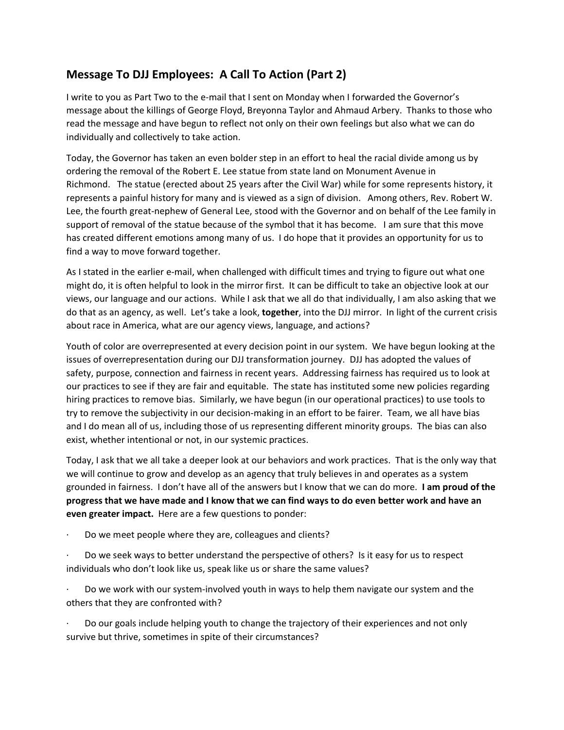## **Message To DJJ Employees: A Call To Action (Part 2)**

I write to you as Part Two to the e-mail that I sent on Monday when I forwarded the Governor's message about the killings of George Floyd, Breyonna Taylor and Ahmaud Arbery. Thanks to those who read the message and have begun to reflect not only on their own feelings but also what we can do individually and collectively to take action.

Today, the Governor has taken an even bolder step in an effort to heal the racial divide among us by ordering the removal of the Robert E. Lee statue from state land on Monument Avenue in Richmond. The statue (erected about 25 years after the Civil War) while for some represents history, it represents a painful history for many and is viewed as a sign of division. Among others, Rev. Robert W. Lee, the fourth great-nephew of General Lee, stood with the Governor and on behalf of the Lee family in support of removal of the statue because of the symbol that it has become. I am sure that this move has created different emotions among many of us. I do hope that it provides an opportunity for us to find a way to move forward together.

As I stated in the earlier e-mail, when challenged with difficult times and trying to figure out what one might do, it is often helpful to look in the mirror first. It can be difficult to take an objective look at our views, our language and our actions. While I ask that we all do that individually, I am also asking that we do that as an agency, as well. Let's take a look, **together**, into the DJJ mirror. In light of the current crisis about race in America, what are our agency views, language, and actions?

Youth of color are overrepresented at every decision point in our system. We have begun looking at the issues of overrepresentation during our DJJ transformation journey. DJJ has adopted the values of safety, purpose, connection and fairness in recent years. Addressing fairness has required us to look at our practices to see if they are fair and equitable. The state has instituted some new policies regarding hiring practices to remove bias. Similarly, we have begun (in our operational practices) to use tools to try to remove the subjectivity in our decision-making in an effort to be fairer. Team, we all have bias and I do mean all of us, including those of us representing different minority groups. The bias can also exist, whether intentional or not, in our systemic practices.

Today, I ask that we all take a deeper look at our behaviors and work practices. That is the only way that we will continue to grow and develop as an agency that truly believes in and operates as a system grounded in fairness. I don't have all of the answers but I know that we can do more. **I am proud of the progress that we have made and I know that we can find ways to do even better work and have an even greater impact.** Here are a few questions to ponder:

- Do we meet people where they are, colleagues and clients?
- · Do we seek ways to better understand the perspective of others? Is it easy for us to respect individuals who don't look like us, speak like us or share the same values?
- · Do we work with our system-involved youth in ways to help them navigate our system and the others that they are confronted with?

· Do our goals include helping youth to change the trajectory of their experiences and not only survive but thrive, sometimes in spite of their circumstances?